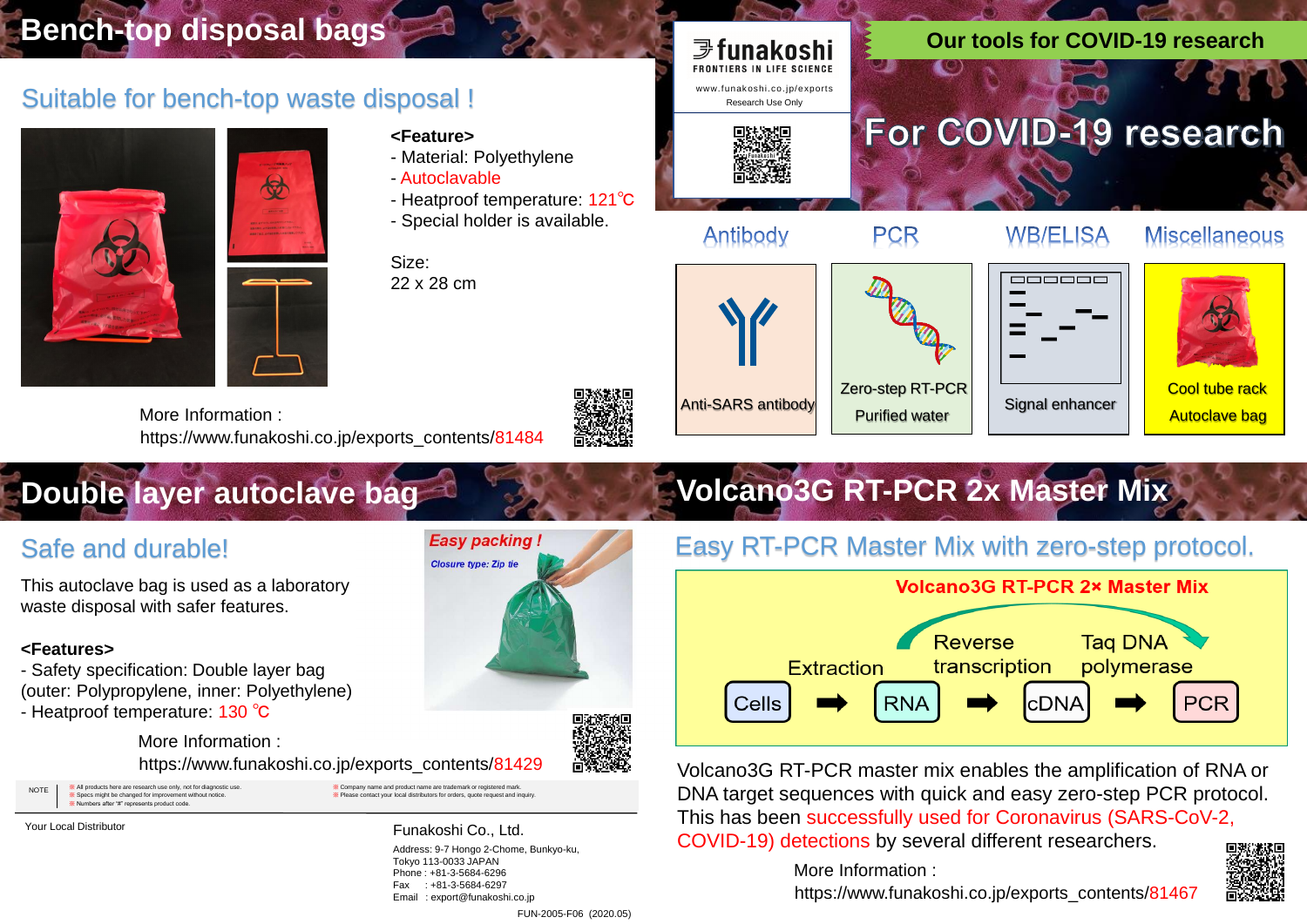



Antibody

**PCR** 





Address: 9-7 Hongo 2-Chome, Bunkyo-ku, Tokyo 113-0033 JAPAN Phone : +81-3-5684-6296 Fax : +81-3-5684-6297 Email : export@funakoshi.co.jp

# **Volcano3G RT-PCR 2x Master Mix**

FUN-2005-F06 (2020.05)



#### **WB/ELISA**

#### **Miscellaneous**

Zero-step RT-PCR Purified water







Anti-SARS antibody

### Safe and durable!

This autoclave bag is used as a laboratory waste disposal with safer features.

#### **<Features>**

- Safety specification: Double layer bag (outer: Polypropylene, inner: Polyethylene) - Heatproof temperature: 130 ℃

**Easy packing Closure type: Zip tie** 

https://www.funakoshi.co.jp/exports\_contents/81429 More Information :

« All products here are research use only, not for diagnostic us ※ Specs might be changed for improvement without notice. ers after "#" represents product code WE All products here are research use only, not for diagnostic use.<br>We Please contact your local distributors for orders, quote request and inquiry. NOTE www.Specs might be changed for improvement without notice. where th

Your Local Distributor **Funakoshi Co., Ltd.** 

#### Suitable for bench-top waste disposal !



# **Bench-top disposal bags**

#### **<Feature>**

- Material: Polyethylene
- Autoclavable
- Heatproof temperature: 121℃
- Special holder is available.

Size: 22 x 28 cm

https://www.funakoshi.co.jp/exports\_contents/81484 More Information :

# **Double layer autoclave baged and support of the support of the support of the support of the support of the support of the support of the support of the support of the support of the support of the support of the support**

Volcano3G RT-PCR master mix enables the amplification of RNA or DNA target sequences with quick and easy zero-step PCR protocol. This has been successfully used for Coronavirus (SARS-CoV-2, COVID-19) detections by several different researchers.

### Easy RT-PCR Master Mix with zero-step protocol.



https://www.funakoshi.co.jp/exports\_contents/81467 More Information :